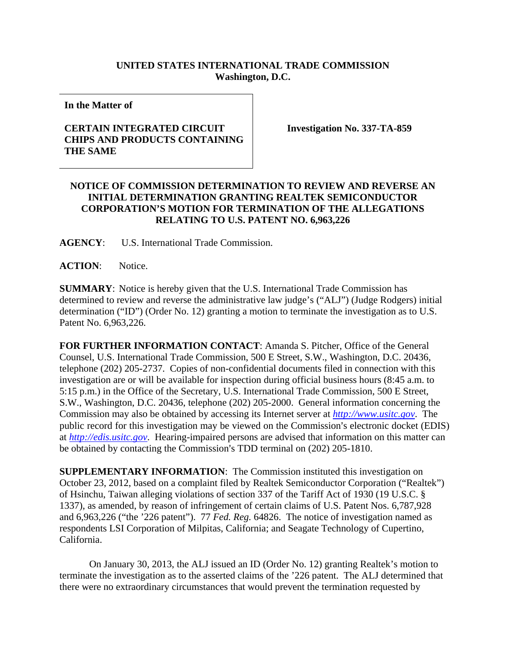## **UNITED STATES INTERNATIONAL TRADE COMMISSION Washington, D.C.**

**In the Matter of** 

## **CERTAIN INTEGRATED CIRCUIT CHIPS AND PRODUCTS CONTAINING THE SAME**

**Investigation No. 337-TA-859** 

## **NOTICE OF COMMISSION DETERMINATION TO REVIEW AND REVERSE AN INITIAL DETERMINATION GRANTING REALTEK SEMICONDUCTOR CORPORATION'S MOTION FOR TERMINATION OF THE ALLEGATIONS RELATING TO U.S. PATENT NO. 6,963,226**

**AGENCY**: U.S. International Trade Commission.

**ACTION**: Notice.

**SUMMARY**: Notice is hereby given that the U.S. International Trade Commission has determined to review and reverse the administrative law judge's ("ALJ") (Judge Rodgers) initial determination ("ID") (Order No. 12) granting a motion to terminate the investigation as to U.S. Patent No. 6,963,226.

**FOR FURTHER INFORMATION CONTACT**: Amanda S. Pitcher, Office of the General Counsel, U.S. International Trade Commission, 500 E Street, S.W., Washington, D.C. 20436, telephone (202) 205-2737. Copies of non-confidential documents filed in connection with this investigation are or will be available for inspection during official business hours (8:45 a.m. to 5:15 p.m.) in the Office of the Secretary, U.S. International Trade Commission, 500 E Street, S.W., Washington, D.C. 20436, telephone (202) 205-2000. General information concerning the Commission may also be obtained by accessing its Internet server at *http://www.usitc.gov*. The public record for this investigation may be viewed on the Commission's electronic docket (EDIS) at *http://edis.usitc.gov*. Hearing-impaired persons are advised that information on this matter can be obtained by contacting the Commission's TDD terminal on (202) 205-1810.

**SUPPLEMENTARY INFORMATION:** The Commission instituted this investigation on October 23, 2012, based on a complaint filed by Realtek Semiconductor Corporation ("Realtek") of Hsinchu, Taiwan alleging violations of section 337 of the Tariff Act of 1930 (19 U.S.C. § 1337), as amended, by reason of infringement of certain claims of U.S. Patent Nos. 6,787,928 and 6,963,226 ("the '226 patent"). 77 *Fed. Reg.* 64826. The notice of investigation named as respondents LSI Corporation of Milpitas, California; and Seagate Technology of Cupertino, California.

On January 30, 2013, the ALJ issued an ID (Order No. 12) granting Realtek's motion to terminate the investigation as to the asserted claims of the '226 patent. The ALJ determined that there were no extraordinary circumstances that would prevent the termination requested by